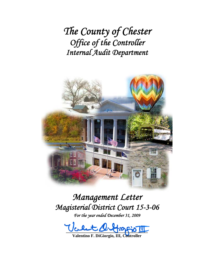*The County of Chester Office of the Controller Internal Audit Department*



*Management Letter Magisterial District Court 15-3-06* 

*For the year ended December 31, 2009* 

 $u_0u_1u_2u_3u_4u_5u_1u_2u_3u_4u_5u_4u_5u_5u_6u_2u_3u_4u_5u_5u_2u_4u_3u_4u_4u_5u_2u_4u_3u_4u_4u_5u_4u_5u_6u_4u_5u_6u_4u_5u_6u_6u_7u_7u_8u_7u_8u_7u_7u_8u_7u_8u_7u_8u_7u_8u_7u_8u_7u_8u_7u_8u_7u_8u_7u_8u_7u_8u_7u_8u_7u_8u_$ </u>

**Valentino F. DiGiorgio, III, Controller**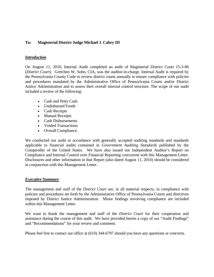## **To: Magisterial District Judge Michael J. Cabry III**

### *Introduction*

On August 11, 2010, Internal Audit completed an audit of Magisterial District Court 15-3-06 (*District Court*). Gretchen W. Sohn, CIA, was the auditor-in-charge. Internal Audit is required by the Pennsylvania County Code to review district courts annually to ensure compliance with policies and procedures mandated by the Administrative Office of Pennsylvania Courts and/or District Justice Administration and to assess their overall internal control structure. The scope of our audit included a review of the following:

- Cash and Petty Cash
- Undisbursed Funds
- Cash Receipts
- Manual Receipts
- Cash Disbursements
- Voided Transactions
- Overall Compliance.

We conducted our audit in accordance with generally accepted auditing standards and standards applicable to financial audits contained in *Government Auditing Standards* published by the Comptroller of the United States. We have also issued our Independent Auditor's Report on Compliance and Internal Control over Financial Reporting concurrent with this Management Letter. Disclosures and other information in that Report (also dated August 11, 2010) should be considered in conjunction with this Management Letter.

#### *Executive Summary*

The management and staff of the *District Court* are, in all material respects, in compliance with policies and procedures set forth by the Administrative Office of Pennsylvania Courts and directives imposed by District Justice Administration. Minor findings involving compliance are included within this Management Letter.

We want to thank the management and staff of the *District Court* for their cooperation and assistance during the course of this audit. We have provided herein a copy of our "Audit Findings" and "Recommendations" for your review and comment.

Please feel free to contact our office at (610) 344-6797 should you have any questions or concerns.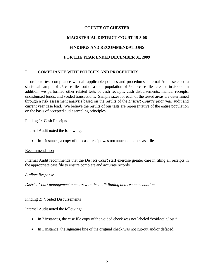## **COUNTY OF CHESTER**

# **MAGISTERIAL DISTRICT COURT 15-3-06**

## **FINDINGS AND RECOMMENDATIONS**

## **FOR THE YEAR ENDED DECEMBER 31, 2009**

## **I. COMPLIANCE WITH POLICIES AND PROCEDURES**

In order to test compliance with all applicable policies and procedures, Internal Audit selected a statistical sample of 25 case files out of a total population of 5,090 case files created in 2009. In addition, we performed other related tests of cash receipts, cash disbursements, manual receipts, undisbursed funds, and voided transactions. Sample sizes for each of the tested areas are determined through a risk assessment analysis based on the results of the *District Court's* prior year audit and current year case load. We believe the results of our tests are representative of the entire population on the basis of accepted audit sampling principles.

#### Finding 1: Cash Receipts

Internal Audit noted the following:

In 1 instance, a copy of the cash receipt was not attached to the case file.

#### Recommendation

Internal Audit recommends that the *District Court* staff exercise greater care in filing all receipts in the appropriate case file to ensure complete and accurate records.

#### *Auditee Response*

*District Court management concurs with the audit finding and recommendation.* 

#### Finding 2: Voided Disbursements

Internal Audit noted the following:

- In 2 instances, the case file copy of the voided check was not labeled "void/stale/lost."
- In 1 instance, the signature line of the original check was not cut-out and/or defaced.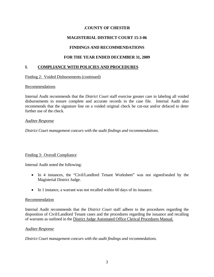## **.COUNTY OF CHESTER**

# **MAGISTERIAL DISTRICT COURT 15-3-06**

## **FINDINGS AND RECOMMENDATIONS**

## **FOR THE YEAR ENDED DECEMBER 31, 2009**

## **I. COMPLIANCE WITH POLICIES AND PROCEDURES**

### Finding 2: Voided Disbursements (continued)

### Recommendations

Internal Audit recommends that the *District Court* staff exercise greater care in labeling all voided disbursements to ensure complete and accurate records in the case file. Internal Audit also recommends that the signature line on a voided original check be cut-out and/or defaced to deter further use of the check.

### *Auditee Response*

*District Court management concurs with the audit findings and recommendations.*

## Finding 3: Overall Compliance

Internal Audit noted the following:

- In 4 instances, the "Civil/Landlord Tenant Worksheet" was not signed/sealed by the Magisterial District Judge.
- In 1 instance, a warrant was not recalled within 60 days of its issuance.

#### **Recommendation**

Internal Audit recommends that the *District Court* staff adhere to the procedures regarding the disposition of Civil/Landlord Tenant cases and the procedures regarding the issuance and recalling of warrants as outlined in the District Judge Automated Office Clerical Procedures Manual.

#### *Auditee Response*

*District Court management concurs with the audit findings and recommedations.*